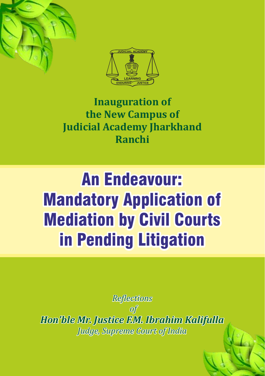



# **Inauguration** of **the New Campus of Judicial Academy Jharkhand Ranchi**

# *An Endeavour:*<br>**Mandatory Application of<br>Mediation by Civil Courts<br>in Pending Litigation<br>***Reflections***<br>***Ron'ble Mr. Justice F.M. Ibrahim Kalifulla* Mandatory Application of Mediation by Civil Courts in Pending Litigation

*Relections of Hon'ble Mr Hon'ble Mr. Justic . Justice F.M. Ibr .M. Ibrahim Kalifulla alifulla Judge, Supreme Court of India*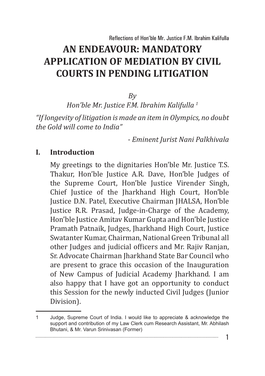*By*

*Hon'ble Mr. Justice F.M. Ibrahim Kalifulla 1*

*"If longevity of litigation is made an item in Olympics, no doubt the Gold will come to India"*

*- Eminent Jurist Nani Palkhivala*

1

#### **I. Introduction**

My greetings to the dignitaries Hon'ble Mr. Justice T.S. Thakur, Hon'ble Justice A.R. Dave, Hon'ble Judges of the Supreme Court, Hon'ble Justice Virender Singh, Chief Justice of the Jharkhand High Court, Hon'ble Justice D.N. Patel, Executive Chairman JHALSA, Hon'ble Justice R.R. Prasad, Judge-in-Charge of the Academy, Hon'ble Justice Amitav Kumar Gupta and Hon'ble Justice Pramath Patnaik, Judges, Jharkhand High Court, Justice Swatanter Kumar, Chairman, National Green Tribunal all other Judges and judicial officers and Mr. Rajiv Ranjan, Sr. Advocate Chairman Jharkhand State Bar Council who are present to grace this occasion of the Inauguration of New Campus of Judicial Academy Jharkhand. I am also happy that I have got an opportunity to conduct this Session for the newly inducted Civil Judges (Junior Division).

<sup>1</sup> Judge, Supreme Court of India. I would like to appreciate & acknowledge the support and contribution of my Law Clerk cum Research Assistant, Mr. Abhilash Bhutani, & Mr. Varun Srinivasan (Former)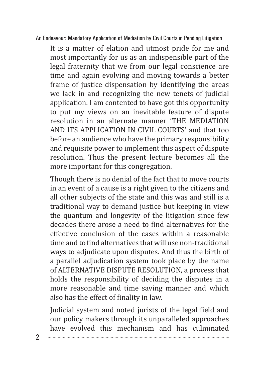It is a matter of elation and utmost pride for me and most importantly for us as an indispensible part of the legal fraternity that we from our legal conscience are time and again evolving and moving towards a better frame of justice dispensation by identifying the areas we lack in and recognizing the new tenets of judicial application. I am contented to have got this opportunity to put my views on an inevitable feature of dispute resolution in an alternate manner 'THE MEDIATION AND ITS APPLICATION IN CIVIL COURTS' and that too before an audience who have the primary responsibility and requisite power to implement this aspect of dispute resolution. Thus the present lecture becomes all the more important for this congregation.

Though there is no denial of the fact that to move courts in an event of a cause is a right given to the citizens and all other subjects of the state and this was and still is a traditional way to demand justice but keeping in view the quantum and longevity of the litigation since few decades there arose a need to find alternatives for the effective conclusion of the cases within a reasonable time and to find alternatives that will use non-traditional ways to adjudicate upon disputes. And thus the birth of a parallel adjudication system took place by the name of ALTERNATIVE DISPUTE RESOLUTION, a process that holds the responsibility of deciding the disputes in a more reasonable and time saving manner and which also has the effect of finality in law.

Judicial system and noted jurists of the legal field and our policy makers through its unparalleled approaches have evolved this mechanism and has culminated

 $\mathcal{D}$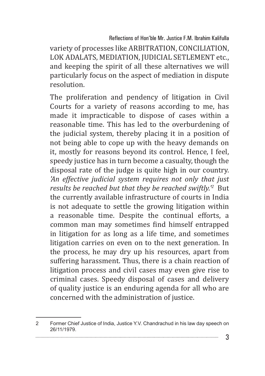Reflections of Hon'ble Mr. Justice F.M. Ibrahim Kalifulla

variety of processes like ARBITRATION, CONCILIATION, LOK ADALATS, MEDIATION, JUDICIAL SETLEMENT etc., and keeping the spirit of all these alternatives we will particularly focus on the aspect of mediation in dispute resolution.

The proliferation and pendency of litigation in Civil Courts for a variety of reasons according to me, has made it impracticable to dispose of cases within a reasonable time. This has led to the overburdening of the judicial system, thereby placing it in a position of not being able to cope up with the heavy demands on it, mostly for reasons beyond its control. Hence, I feel, speedy justice has in turn become a casualty, though the disposal rate of the judge is quite high in our country. *'An effective judicial system requires not only that just results be reached but that they be reached swiftly.'<sup>2</sup> But* the currently available infrastructure of courts in India is not adequate to settle the growing litigation within a reasonable time. Despite the continual efforts, a common man may sometimes find himself entrapped in litigation for as long as a life time, and sometimes litigation carries on even on to the next generation. In the process, he may dry up his resources, apart from suffering harassment. Thus, there is a chain reaction of litigation process and civil cases may even give rise to criminal cases. Speedy disposal of cases and delivery of quality justice is an enduring agenda for all who are concerned with the administration of justice.

<sup>2</sup> Former Chief Justice of India, Justice Y.V. Chandrachud in his law day speech on 26/11/1979.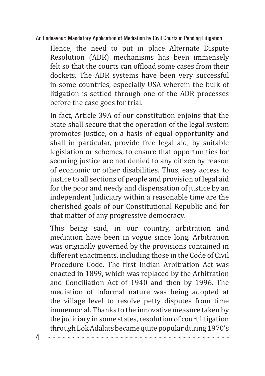Hence, the need to put in place Alternate Dispute Resolution (ADR) mechanisms has been immensely felt so that the courts can offload some cases from their dockets. The ADR systems have been very successful in some countries, especially USA wherein the bulk of litigation is settled through one of the ADR processes before the case goes for trial.

In fact, Article 39A of our constitution enjoins that the State shall secure that the operation of the legal system promotes justice, on a basis of equal opportunity and shall in particular, provide free legal aid, by suitable legislation or schemes, to ensure that opportunities for securing justice are not denied to any citizen by reason of economic or other disabilities. Thus, easy access to justice to all sections of people and provision of legal aid for the poor and needy and dispensation of justice by an independent Judiciary within a reasonable time are the cherished goals of our Constitutional Republic and for that matter of any progressive democracy.

This being said, in our country, arbitration and mediation have been in vogue since long. Arbitration was originally governed by the provisions contained in different enactments, including those in the Code of Civil Procedure Code. The first Indian Arbitration Act was enacted in 1899, which was replaced by the Arbitration and Conciliation Act of 1940 and then by 1996. The mediation of informal nature was being adopted at the village level to resolve petty disputes from time immemorial. Thanks to the innovative measure taken by the judiciary in some states, resolution of court litigation through Lok Adalats became quite popular during 1970's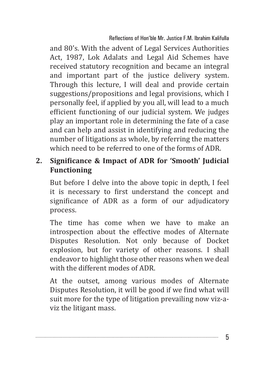and 80's. With the advent of Legal Services Authorities Act, 1987, Lok Adalats and Legal Aid Schemes have received statutory recognition and became an integral and important part of the justice delivery system. Through this lecture, I will deal and provide certain suggestions/propositions and legal provisions, which I personally feel, if applied by you all, will lead to a much efficient functioning of our judicial system. We judges play an important role in determining the fate of a case and can help and assist in identifying and reducing the number of litigations as whole, by referring the matters which need to be referred to one of the forms of ADR.

#### **2. Significance & Impact of ADR for 'Smooth' Judicial Functioning**

But before I delve into the above topic in depth, I feel it is necessary to first understand the concept and significance of ADR as a form of our adjudicatory process.

The time has come when we have to make an introspection about the effective modes of Alternate Disputes Resolution. Not only because of Docket explosion, but for variety of other reasons. I shall endeavor to highlight those other reasons when we deal with the different modes of ADR.

At the outset, among various modes of Alternate Disputes Resolution, it will be good if we find what will suit more for the type of litigation prevailing now viz-aviz the litigant mass.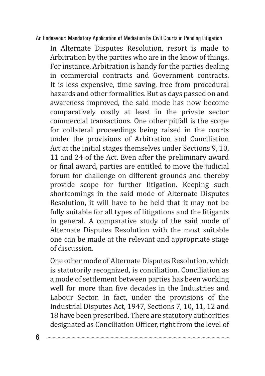In Alternate Disputes Resolution, resort is made to Arbitration by the parties who are in the know of things. For instance, Arbitration is handy for the parties dealing in commercial contracts and Government contracts. It is less expensive, time saving, free from procedural hazards and other formalities. But as days passed on and awareness improved, the said mode has now become comparatively costly at least in the private sector commercial transactions. One other pitfall is the scope for collateral proceedings being raised in the courts under the provisions of Arbitration and Conciliation Act at the initial stages themselves under Sections 9, 10, 11 and 24 of the Act. Even after the preliminary award or final award, parties are entitled to move the judicial forum for challenge on different grounds and thereby provide scope for further litigation. Keeping such shortcomings in the said mode of Alternate Disputes Resolution, it will have to be held that it may not be fully suitable for all types of litigations and the litigants in general. A comparative study of the said mode of Alternate Disputes Resolution with the most suitable one can be made at the relevant and appropriate stage of discussion.

One other mode of Alternate Disputes Resolution, which is statutorily recognized, is conciliation. Conciliation as a mode of settlement between parties has been working well for more than five decades in the Industries and Labour Sector. In fact, under the provisions of the Industrial Disputes Act, 1947, Sections 7, 10, 11, 12 and 18 have been prescribed. There are statutory authorities designated as Conciliation Officer, right from the level of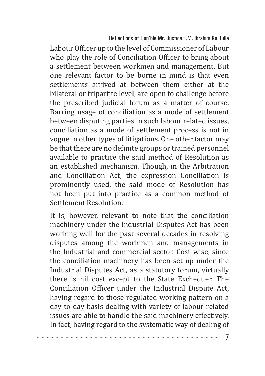Labour Officer up to the level of Commissioner of Labour who play the role of Conciliation Officer to bring about a settlement between workmen and management. But one relevant factor to be borne in mind is that even settlements arrived at between them either at the bilateral or tripartite level, are open to challenge before the prescribed judicial forum as a matter of course. Barring usage of conciliation as a mode of settlement between disputing parties in such labour related issues, conciliation as a mode of settlement process is not in vogue in other types of litigations. One other factor may be that there are no definite groups or trained personnel available to practice the said method of Resolution as an established mechanism. Though, in the Arbitration and Conciliation Act, the expression Conciliation is prominently used, the said mode of Resolution has not been put into practice as a common method of Settlement Resolution.

It is, however, relevant to note that the conciliation machinery under the industrial Disputes Act has been working well for the past several decades in resolving disputes among the workmen and managements in the Industrial and commercial sector. Cost wise, since the conciliation machinery has been set up under the Industrial Disputes Act, as a statutory forum, virtually there is nil cost except to the State Exchequer. The Conciliation Officer under the Industrial Dispute Act, having regard to those regulated working pattern on a day to day basis dealing with variety of labour related issues are able to handle the said machinery effectively. In fact, having regard to the systematic way of dealing of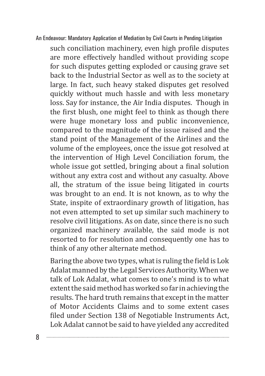such conciliation machinery, even high profile disputes are more effectively handled without providing scope for such disputes getting exploded or causing grave set back to the Industrial Sector as well as to the society at large. In fact, such heavy staked disputes get resolved quickly without much hassle and with less monetary loss. Say for instance, the Air India disputes. Though in the first blush, one might feel to think as though there were huge monetary loss and public inconvenience, compared to the magnitude of the issue raised and the stand point of the Management of the Airlines and the volume of the employees, once the issue got resolved at the intervention of High Level Conciliation forum, the whole issue got settled, bringing about a final solution without any extra cost and without any casualty. Above all, the stratum of the issue being litigated in courts was brought to an end. It is not known, as to why the State, inspite of extraordinary growth of litigation, has not even attempted to set up similar such machinery to resolve civil litigations. As on date, since there is no such organized machinery available, the said mode is not resorted to for resolution and consequently one has to think of any other alternate method.

Baring the above two types, what is ruling the field is Lok Adalat manned by the Legal Services Authority. When we talk of Lok Adalat, what comes to one's mind is to what extent the said method has worked so far in achieving the results. The hard truth remains that except in the matter of Motor Accidents Claims and to some extent cases filed under Section 138 of Negotiable Instruments Act, Lok Adalat cannot be said to have yielded any accredited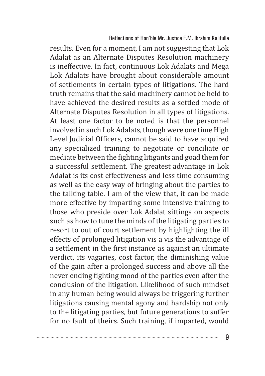results. Even for a moment, I am not suggesting that Lok Adalat as an Alternate Disputes Resolution machinery is ineffective. In fact, continuous Lok Adalats and Mega Lok Adalats have brought about considerable amount of settlements in certain types of litigations. The hard truth remains that the said machinery cannot be held to have achieved the desired results as a settled mode of Alternate Disputes Resolution in all types of litigations. At least one factor to be noted is that the personnel involved in such Lok Adalats, though were one time High Level Judicial Officers, cannot be said to have acquired any specialized training to negotiate or conciliate or mediate between the fighting litigants and goad them for a successful settlement. The greatest advantage in Lok Adalat is its cost effectiveness and less time consuming as well as the easy way of bringing about the parties to the talking table. I am of the view that, it can be made more effective by imparting some intensive training to those who preside over Lok Adalat sittings on aspects such as how to tune the minds of the litigating parties to resort to out of court settlement by highlighting the ill effects of prolonged litigation vis a vis the advantage of a settlement in the first instance as against an ultimate verdict, its vagaries, cost factor, the diminishing value of the gain after a prolonged success and above all the never ending fighting mood of the parties even after the conclusion of the litigation. Likelihood of such mindset in any human being would always be triggering further litigations causing mental agony and hardship not only to the litigating parties, but future generations to suffer for no fault of theirs. Such training, if imparted, would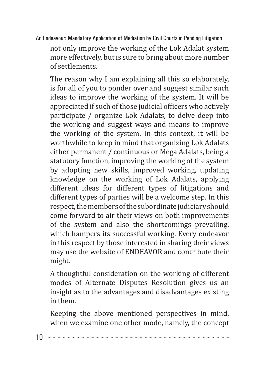not only improve the working of the Lok Adalat system more effectively, but is sure to bring about more number of settlements.

The reason why I am explaining all this so elaborately, is for all of you to ponder over and suggest similar such ideas to improve the working of the system. It will be appreciated if such of those judicial officers who actively participate / organize Lok Adalats, to delve deep into the working and suggest ways and means to improve the working of the system. In this context, it will be worthwhile to keep in mind that organizing Lok Adalats either permanent / continuous or Mega Adalats, being a statutory function, improving the working of the system by adopting new skills, improved working, updating knowledge on the working of Lok Adalats, applying different ideas for different types of litigations and different types of parties will be a welcome step. In this respect, the members of the subordinate judiciary should come forward to air their views on both improvements of the system and also the shortcomings prevailing, which hampers its successful working. Every endeavor in this respect by those interested in sharing their views may use the website of ENDEAVOR and contribute their might.

A thoughtful consideration on the working of different modes of Alternate Disputes Resolution gives us an insight as to the advantages and disadvantages existing in them.

Keeping the above mentioned perspectives in mind, when we examine one other mode, namely, the concept

10 .......................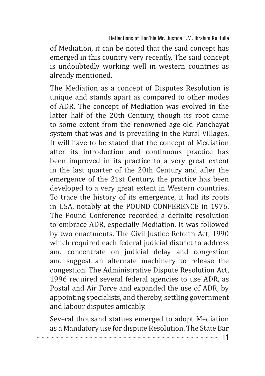of Mediation, it can be noted that the said concept has emerged in this country very recently. The said concept is undoubtedly working well in western countries as already mentioned.

The Mediation as a concept of Disputes Resolution is unique and stands apart as compared to other modes of ADR. The concept of Mediation was evolved in the latter half of the 20th Century, though its root came to some extent from the renowned age old Panchayat system that was and is prevailing in the Rural Villages. It will have to be stated that the concept of Mediation after its introduction and continuous practice has been improved in its practice to a very great extent in the last quarter of the 20th Century and after the emergence of the 21st Century, the practice has been developed to a very great extent in Western countries. To trace the history of its emergence, it had its roots in USA, notably at the POUND CONFERENCE in 1976. The Pound Conference recorded a definite resolution to embrace ADR, especially Mediation. It was followed by two enactments. The Civil Justice Reform Act, 1990 which required each federal judicial district to address and concentrate on judicial delay and congestion and suggest an alternate machinery to release the congestion. The Administrative Dispute Resolution Act, 1996 required several federal agencies to use ADR, as Postal and Air Force and expanded the use of ADR, by appointing specialists, and thereby, settling government and labour disputes amicably.

Several thousand statues emerged to adopt Mediation as a Mandatory use for dispute Resolution. The State Bar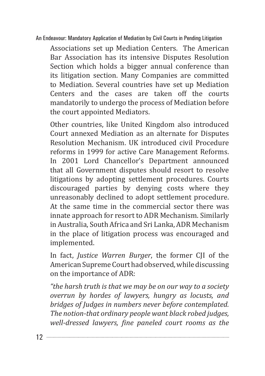Associations set up Mediation Centers. The American Bar Association has its intensive Disputes Resolution Section which holds a bigger annual conference than its litigation section. Many Companies are committed to Mediation. Several countries have set up Mediation Centers and the cases are taken off the courts mandatorily to undergo the process of Mediation before the court appointed Mediators.

Other countries, like United Kingdom also introduced Court annexed Mediation as an alternate for Disputes Resolution Mechanism. UK introduced civil Procedure reforms in 1999 for active Care Management Reforms. In 2001 Lord Chancellor's Department announced that all Government disputes should resort to resolve litigations by adopting settlement procedures. Courts discouraged parties by denying costs where they unreasonably declined to adopt settlement procedure. At the same time in the commercial sector there was innate approach for resort to ADR Mechanism. Similarly in Australia, South Africa and Sri Lanka, ADR Mechanism in the place of litigation process was encouraged and implemented.

In fact, *Justice Warren Burger*, the former CJI of the American Supreme Court had observed, while discussing on the importance of ADR:

*"the harsh truth is that we may be on our way to a society overrun by hordes of lawyers, hungry as locusts, and bridges of Judges in numbers never before contemplated. The notion-that ordinary people want black robed judges, well-dressed lawyers, fine paneled court rooms as the*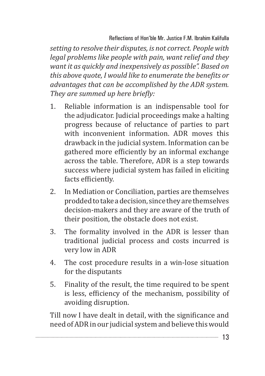*setting to resolve their disputes, is not correct. People with legal problems like people with pain, want relief and they want it as quickly and inexpensively as possible". Based on this above quote, I would like to enumerate the benefits or advantages that can be accomplished by the ADR system. They are summed up here briefly:*

- 1. Reliable information is an indispensable tool for the adjudicator. Judicial proceedings make a halting progress because of reluctance of parties to part with inconvenient information. ADR moves this drawback in the judicial system. Information can be gathered more efficiently by an informal exchange across the table. Therefore, ADR is a step towards success where judicial system has failed in eliciting facts efficiently.
- 2. In Mediation or Conciliation, parties are themselves prodded to take a decision, since they are themselves decision-makers and they are aware of the truth of their position, the obstacle does not exist.
- 3. The formality involved in the ADR is lesser than traditional judicial process and costs incurred is very low in ADR
- 4. The cost procedure results in a win-lose situation for the disputants
- 5. Finality of the result, the time required to be spent is less, efficiency of the mechanism, possibility of avoiding disruption.

Till now I have dealt in detail, with the significance and need of ADR in our judicial system and believe this would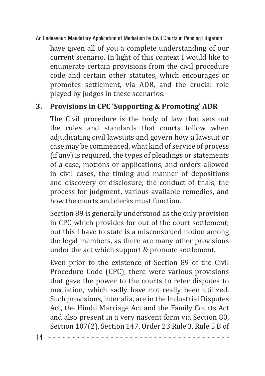have given all of you a complete understanding of our current scenario. In light of this context I would like to enumerate certain provisions from the civil procedure code and certain other statutes, which encourages or promotes settlement, via ADR, and the crucial role played by judges in these scenarios.

# **3. Provisions in CPC 'Supporting & Promoting' ADR**

The Civil procedure is the body of law that sets out the rules and standards that courts follow when adjudicating civil lawsuits and govern how a lawsuit or case may be commenced, what kind of service of process (if any) is required, the types of pleadings or statements of a case, motions or applications, and orders allowed in civil cases, the timing and manner of depositions and discovery or disclosure, the conduct of trials, the process for judgment, various available remedies, and how the courts and clerks must function.

Section 89 is generally understood as the only provision in CPC which provides for out of the court settlement; but this I have to state is a misconstrued notion among the legal members, as there are many other provisions under the act which support & promote settlement.

Even prior to the existence of Section 89 of the Civil Procedure Code (CPC), there were various provisions that gave the power to the courts to refer disputes to mediation, which sadly have not really been utilized. Such provisions, inter alia, are in the Industrial Disputes Act, the Hindu Marriage Act and the Family Courts Act and also present in a very nascent form via Section 80, Section 107(2), Section 147, Order 23 Rule 3, Rule 5 B of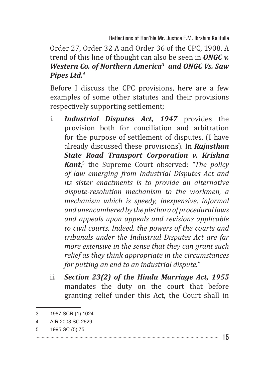Reflections of Hon'ble Mr. Justice F.M. Ibrahim Kalifulla

Order 27, Order 32 A and Order 36 of the CPC, 1908. A trend of this line of thought can also be seen in *ONGC v. Western Co. of Northern America3 and ONGC Vs. Saw Pipes Ltd.4*

Before I discuss the CPC provisions, here are a few examples of some other statutes and their provisions respectively supporting settlement;

- i. *Industrial Disputes Act, 1947* provides the provision both for conciliation and arbitration for the purpose of settlement of disputes. (I have already discussed these provisions). In *Rajasthan State Road Transport Corporation v. Krishna Kant*, 5 the Supreme Court observed: *"The policy of law emerging from Industrial Disputes Act and its sister enactments is to provide an alternative dispute-resolution mechanism to the workmen, a mechanism which is speedy, inexpensive, informal and unencumbered by the plethora of procedural laws and appeals upon appeals and revisions applicable to civil courts. Indeed, the powers of the courts and tribunals under the Industrial Disputes Act are far more extensive in the sense that they can grant such relief as they think appropriate in the circumstances for putting an end to an industrial dispute."*
- ii. *Section 23(2) of the Hindu Marriage Act, 1955* mandates the duty on the court that before granting relief under this Act, the Court shall in

<sup>3</sup> 1987 SCR (1) 1024

<sup>4</sup> AIR 2003 SC 2629

<sup>5</sup> 1995 SC (5) 75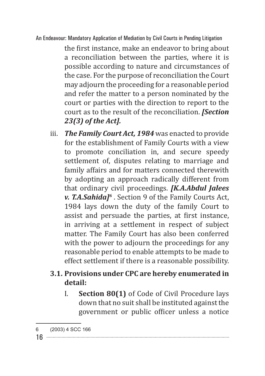the first instance, make an endeavor to bring about a reconciliation between the parties, where it is possible according to nature and circumstances of the case. For the purpose of reconciliation the Court may adjourn the proceeding for a reasonable period and refer the matter to a person nominated by the court or parties with the direction to report to the court as to the result of the reconciliation. *[Section 23(3) of the Act].*

iii. *The Family Court Act, 1984* was enacted to provide for the establishment of Family Courts with a view to promote conciliation in, and secure speedy settlement of, disputes relating to marriage and family affairs and for matters connected therewith by adopting an approach radically different from that ordinary civil proceedings. *[K.A.Abdul Jalees v. T.A.Sahida]6* . Section 9 of the Family Courts Act, 1984 lays down the duty of the family Court to assist and persuade the parties, at first instance, in arriving at a settlement in respect of subject matter. The Family Court has also been conferred with the power to adjourn the proceedings for any reasonable period to enable attempts to be made to effect settlement if there is a reasonable possibility.

# **3.1. Provisions under CPC are hereby enumerated in detail:**

I. **Section 80(1)** of Code of Civil Procedure lays down that no suit shall be instituted against the government or public officer unless a notice

<sup>6</sup> (2003) 4 SCC 166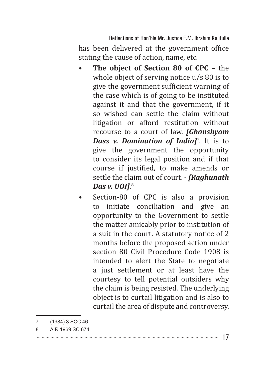Reflections of Hon'ble Mr. Justice F.M. Ibrahim Kalifulla has been delivered at the government office stating the cause of action, name, etc.

- **The object of Section 80 of CPC** the whole object of serving notice  $u/s$  80 is to give the government sufficient warning of the case which is of going to be instituted against it and that the government, if it so wished can settle the claim without litigation or afford restitution without recourse to a court of law. *[Ghanshyam Dass v. Domination of India]*<sup>7</sup> . It is to give the government the opportunity to consider its legal position and if that course if justified, to make amends or settle the claim out of court. - *[Raghunath Das v. UOI]*. 8
- Section-80 of CPC is also a provision to initiate conciliation and give an opportunity to the Government to settle the matter amicably prior to institution of a suit in the court. A statutory notice of 2 months before the proposed action under section 80 Civil Procedure Code 1908 is intended to alert the State to negotiate a just settlement or at least have the courtesy to tell potential outsiders why the claim is being resisted. The underlying object is to curtail litigation and is also to curtail the area of dispute and controversy.

<sup>7</sup> (1984) 3 SCC 46

<sup>8</sup> AIR 1969 SC 674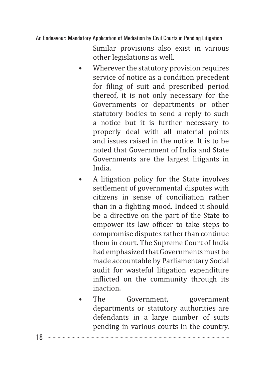Similar provisions also exist in various other legislations as well.

- Wherever the statutory provision requires service of notice as a condition precedent for filing of suit and prescribed period thereof, it is not only necessary for the Governments or departments or other statutory bodies to send a reply to such a notice but it is further necessary to properly deal with all material points and issues raised in the notice. It is to be noted that Government of India and State Governments are the largest litigants in India.
- A litigation policy for the State involves settlement of governmental disputes with citizens in sense of conciliation rather than in a fighting mood. Indeed it should be a directive on the part of the State to empower its law officer to take steps to compromise disputes rather than continue them in court. The Supreme Court of India had emphasized that Governments must be made accountable by Parliamentary Social audit for wasteful litigation expenditure inflicted on the community through its inaction.
- The Government, government departments or statutory authorities are defendants in a large number of suits pending in various courts in the country.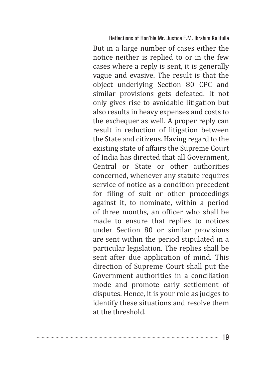Reflections of Hon'ble Mr. Justice F.M. Ibrahim Kalifulla But in a large number of cases either the notice neither is replied to or in the few cases where a reply is sent, it is generally vague and evasive. The result is that the object underlying Section 80 CPC and similar provisions gets defeated. It not only gives rise to avoidable litigation but also results in heavy expenses and costs to the exchequer as well. A proper reply can result in reduction of litigation between the State and citizens. Having regard to the existing state of affairs the Supreme Court of India has directed that all Government, Central or State or other authorities concerned, whenever any statute requires service of notice as a condition precedent for filing of suit or other proceedings against it, to nominate, within a period of three months, an officer who shall be made to ensure that replies to notices under Section 80 or similar provisions are sent within the period stipulated in a particular legislation. The replies shall be sent after due application of mind. This direction of Supreme Court shall put the Government authorities in a conciliation mode and promote early settlement of disputes. Hence, it is your role as judges to identify these situations and resolve them at the threshold.

|--|--|--|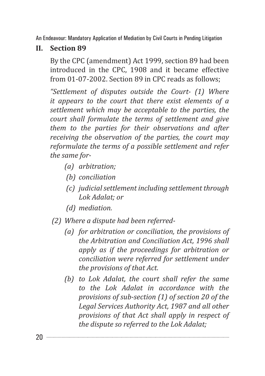#### **II. Section 89**

By the CPC (amendment) Act 1999, section 89 had been introduced in the CPC, 1908 and it became effective from 01-07-2002. Section 89 in CPC reads as follows;

*"Settlement of disputes outside the Court- (1) Where it appears to the court that there exist elements of a settlement which may be acceptable to the parties, the court shall formulate the terms of settlement and give them to the parties for their observations and after receiving the observation of the parties, the court may reformulate the terms of a possible settlement and refer the same for-*

- *(a) arbitration;*
- *(b) conciliation*
- *(c) judicial settlement including settlement through Lok Adalat; or*
- *(d) mediation.*
- *(2) Where a dispute had been referred-*
	- *(a) for arbitration or conciliation, the provisions of the Arbitration and Conciliation Act, 1996 shall apply as if the proceedings for arbitration or conciliation were referred for settlement under the provisions of that Act.*
	- *(b) to Lok Adalat, the court shall refer the same to the Lok Adalat in accordance with the provisions of sub-section (1) of section 20 of the Legal Services Authority Act, 1987 and all other provisions of that Act shall apply in respect of the dispute so referred to the Lok Adalat;*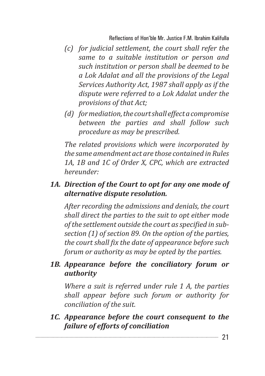- *(c) for judicial settlement, the court shall refer the same to a suitable institution or person and such institution or person shall be deemed to be a Lok Adalat and all the provisions of the Legal Services Authority Act, 1987 shall apply as if the dispute were referred to a Lok Adalat under the provisions of that Act;*
- *(d) for mediation, the court shall effect a compromise between the parties and shall follow such procedure as may be prescribed.*

*The related provisions which were incorporated by the same amendment act are those contained in Rules 1A, 1B and 1C of Order X, CPC, which are extracted hereunder:*

## *1A. Direction of the Court to opt for any one mode of alternative dispute resolution.*

*After recording the admissions and denials, the court shall direct the parties to the suit to opt either mode of the settlement outside the court as specified in subsection (1) of section 89. On the option of the parties, the court shall fix the date of appearance before such forum or authority as may be opted by the parties.*

#### *1B. Appearance before the conciliatory forum or authority*

*Where a suit is referred under rule 1 A, the parties shall appear before such forum or authority for conciliation of the suit.*

*1C. Appearance before the court consequent to the failure of efforts of conciliation*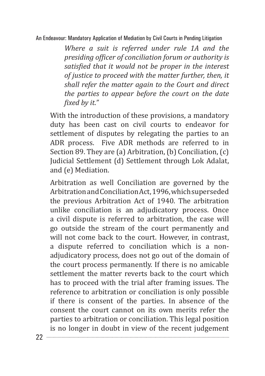*Where a suit is referred under rule 1A and the presiding officer of conciliation forum or authority is satisfied that it would not be proper in the interest of justice to proceed with the matter further, then, it shall refer the matter again to the Court and direct the parties to appear before the court on the date fixed by it."*

With the introduction of these provisions, a mandatory duty has been cast on civil courts to endeavor for settlement of disputes by relegating the parties to an ADR process. Five ADR methods are referred to in Section 89. They are (a) Arbitration, (b) Conciliation, (c) Judicial Settlement (d) Settlement through Lok Adalat, and (e) Mediation.

Arbitration as well Conciliation are governed by the Arbitration and Conciliation Act, 1996, which superseded the previous Arbitration Act of 1940. The arbitration unlike conciliation is an adjudicatory process. Once a civil dispute is referred to arbitration, the case will go outside the stream of the court permanently and will not come back to the court. However, in contrast, a dispute referred to conciliation which is a nonadjudicatory process, does not go out of the domain of the court process permanently. If there is no amicable settlement the matter reverts back to the court which has to proceed with the trial after framing issues. The reference to arbitration or conciliation is only possible if there is consent of the parties. In absence of the consent the court cannot on its own merits refer the parties to arbitration or conciliation. This legal position is no longer in doubt in view of the recent judgement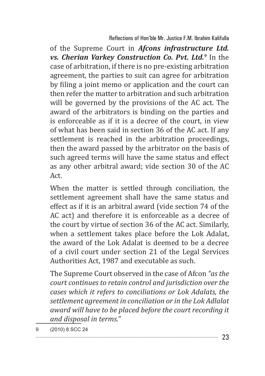of the Supreme Court in *Afcons infrastructure Ltd. vs. Cherian Varkey Construction Co. Pvt. Ltd.9* In the case of arbitration, if there is no pre-existing arbitration agreement, the parties to suit can agree for arbitration by filing a joint memo or application and the court can then refer the matter to arbitration and such arbitration will be governed by the provisions of the AC act. The award of the arbitrators is binding on the parties and is enforceable as if it is a decree of the court, in view of what has been said in section 36 of the AC act. If any settlement is reached in the arbitration proceedings, then the award passed by the arbitrator on the basis of such agreed terms will have the same status and effect as any other arbitral award; vide section 30 of the AC Act.

When the matter is settled through conciliation, the settlement agreement shall have the same status and effect as if it is an arbitral award (vide section 74 of the AC act) and therefore it is enforceable as a decree of the court by virtue of section 36 of the AC act. Similarly, when a settlement takes place before the Lok Adalat, the award of the Lok Adalat is deemed to be a decree of a civil court under section 21 of the Legal Services Authorities Act, 1987 and executable as such.

The Supreme Court observed in the case of Afcon *"as the court continues to retain control and jurisdiction over the cases which it refers to conciliations or Lok Adalats, the settlement agreement in conciliation or in the Lok Adlalat award will have to be placed before the court recording it and disposal in terms."*

9 (2010) 8 SCC 24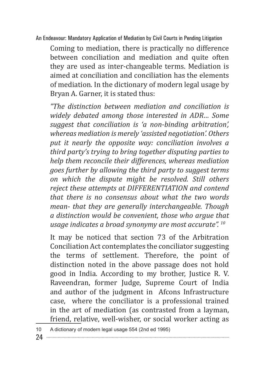Coming to mediation, there is practically no difference between conciliation and mediation and quite often they are used as inter-changeable terms. Mediation is aimed at conciliation and conciliation has the elements of mediation. In the dictionary of modern legal usage by Bryan A. Garner, it is stated thus:

*"The distinction between mediation and conciliation is widely debated among those interested in ADR… Some suggest that conciliation is 'a non-binding arbitration', whereas mediation is merely 'assisted negotiation'. Others put it nearly the opposite way: conciliation involves a third party's trying to bring together disputing parties to help them reconcile their differences, whereas mediation goes further by allowing the third party to suggest terms on which the dispute might be resolved. Still others reject these attempts at DIFFERENTIATION and contend that there is no consensus about what the two words mean- that they are generally interchangeable. Though a distinction would be convenient, those who argue that usage indicates a broad synonymy are most accurate". 10*

It may be noticed that section 73 of the Arbitration Conciliation Act contemplates the conciliator suggesting the terms of settlement. Therefore, the point of distinction noted in the above passage does not hold good in India. According to my brother, Justice R. V. Raveendran, former Judge, Supreme Court of India and author of the judgment in Afcons Infrastructure case, where the conciliator is a professional trained in the art of mediation (as contrasted from a layman, friend, relative, well-wisher, or social worker acting as

<sup>10</sup> A dictionary of modern legal usage 554 (2nd ed 1995)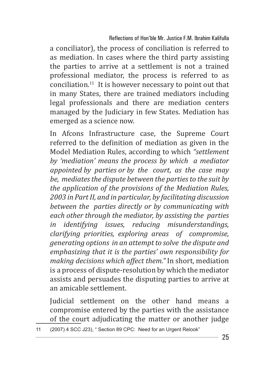a conciliator), the process of conciliation is referred to as mediation. In cases where the third party assisting the parties to arrive at a settlement is not a trained professional mediator, the process is referred to as conciliation.11 It is however necessary to point out that in many States, there are trained mediators including legal professionals and there are mediation centers managed by the Judiciary in few States. Mediation has emerged as a science now.

In Afcons Infrastructure case, the Supreme Court referred to the definition of mediation as given in the Model Mediation Rules, according to which *"settlement by 'mediation' means the process by which a mediator appointed by parties or by the court, as the case may be, mediates the dispute between the parties to the suit by the application of the provisions of the Mediation Rules, 2003 in Part II, and in particular, by facilitating discussion between the parties directly or by communicating with each other through the mediator, by assisting the parties in identifying issues, reducing misunderstandings, clarifying priorities, exploring areas of compromise, generating options in an attempt to solve the dispute and emphasizing that it is the parties' own responsibility for making decisions which affect them."* In short, mediation is a process of dispute-resolution by which the mediator assists and persuades the disputing parties to arrive at an amicable settlement.

Judicial settlement on the other hand means a compromise entered by the parties with the assistance of the court adjudicating the matter or another judge

11 (2007) 4 SCC J23), " Section 89 CPC: Need for an Urgent Relook"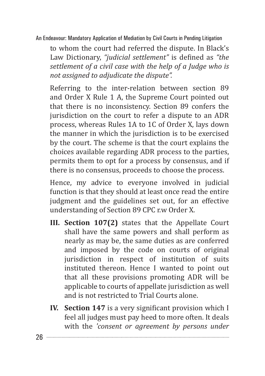to whom the court had referred the dispute. In Black's Law Dictionary, *"judicial settlement"* is defined as *"the settlement of a civil case with the help of a Judge who is not assigned to adjudicate the dispute".*

Referring to the inter-relation between section 89 and Order X Rule 1 A, the Supreme Court pointed out that there is no inconsistency. Section 89 confers the jurisdiction on the court to refer a dispute to an ADR process, whereas Rules 1A to 1C of Order X, lays down the manner in which the jurisdiction is to be exercised by the court. The scheme is that the court explains the choices available regarding ADR process to the parties, permits them to opt for a process by consensus, and if there is no consensus, proceeds to choose the process.

Hence, my advice to everyone involved in judicial function is that they should at least once read the entire judgment and the guidelines set out, for an effective understanding of Section 89 CPC r.w Order X.

- **III. Section 107(2)** states that the Appellate Court shall have the same powers and shall perform as nearly as may be, the same duties as are conferred and imposed by the code on courts of original jurisdiction in respect of institution of suits instituted thereon. Hence I wanted to point out that all these provisions promoting ADR will be applicable to courts of appellate jurisdiction as well and is not restricted to Trial Courts alone.
- **IV.** Section 147 is a very significant provision which I feel all judges must pay heed to more often. It deals with the *'consent or agreement by persons under*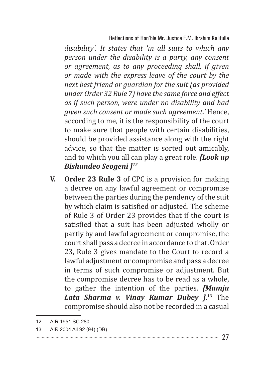*disability'. It states that 'in all suits to which any person under the disability is a party, any consent or agreement, as to any proceeding shall, if given or made with the express leave of the court by the next best friend or guardian for the suit (as provided under Order 32 Rule 7) have the same force and effect as if such person, were under no disability and had given such consent or made such agreement.'* Hence, according to me, it is the responsibility of the court to make sure that people with certain disabilities, should be provided assistance along with the right advice, so that the matter is sorted out amicably, and to which you all can play a great role. *[Look up Bishundeo Seogeni ]12*

**V. Order 23 Rule 3** of CPC is a provision for making a decree on any lawful agreement or compromise between the parties during the pendency of the suit by which claim is satisfied or adjusted. The scheme of Rule 3 of Order 23 provides that if the court is satisfied that a suit has been adjusted wholly or partly by and lawful agreement or compromise, the court shall pass a decree in accordance to that. Order 23, Rule 3 gives mandate to the Court to record a lawful adjustment or compromise and pass a decree in terms of such compromise or adjustment. But the compromise decree has to be read as a whole, to gather the intention of the parties. *[Mamju Lata Sharma v. Vinay Kumar Dubey ]*. 13 The compromise should also not be recorded in a casual

<sup>12</sup> AIR 1951 SC 280

<sup>13</sup> AIR 2004 All 92 (94) (DB)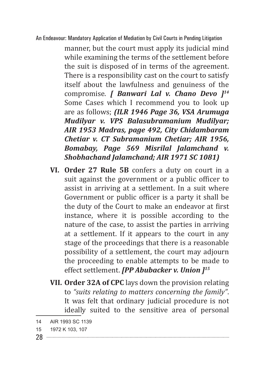manner, but the court must apply its judicial mind while examining the terms of the settlement before the suit is disposed of in terms of the agreement. There is a responsibility cast on the court to satisfy itself about the lawfulness and genuiness of the compromise. *[ Banwari Lal v. Chano Devo ]14* Some Cases which I recommend you to look up are as follows; *(ILR 1946 Page 36, VSA Arumuga Mudilyar v. VPS Balasubramanium Mudilyar; AIR 1953 Madras, page 492, City Chidambaram Chetiar v. CT Subramanium Chetiar; AIR 1956, Bomabay, Page 569 Misrilal Jalamchand v. Shobhachand Jalamchand; AIR 1971 SC 1081)*

- **VI. Order 27 Rule 5B** confers a duty on court in a suit against the government or a public officer to assist in arriving at a settlement. In a suit where Government or public officer is a party it shall be the duty of the Court to make an endeavor at first instance, where it is possible according to the nature of the case, to assist the parties in arriving at a settlement. If it appears to the court in any stage of the proceedings that there is a reasonable possibility of a settlement, the court may adjourn the proceeding to enable attempts to be made to effect settlement. *[PP Abubacker v. Union ]15*
- **VII. Order 32A of CPC** lays down the provision relating to *"suits relating to matters concerning the family"*. It was felt that ordinary judicial procedure is not ideally suited to the sensitive area of personal

<sup>14</sup> AIR 1993 SC 1139

<sup>15</sup> 1972 K 103, 107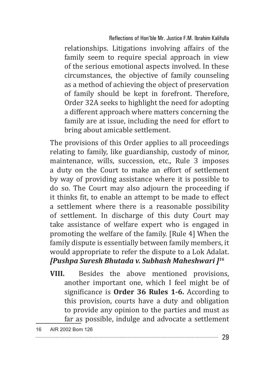relationships. Litigations involving affairs of the family seem to require special approach in view of the serious emotional aspects involved. In these circumstances, the objective of family counseling as a method of achieving the object of preservation of family should be kept in forefront. Therefore, Order 32A seeks to highlight the need for adopting a different approach where matters concerning the family are at issue, including the need for effort to bring about amicable settlement.

The provisions of this Order applies to all proceedings relating to family, like guardianship, custody of minor, maintenance, wills, succession, etc., Rule 3 imposes a duty on the Court to make an effort of settlement by way of providing assistance where it is possible to do so. The Court may also adjourn the proceeding if it thinks fit, to enable an attempt to be made to effect a settlement where there is a reasonable possibility of settlement. In discharge of this duty Court may take assistance of welfare expert who is engaged in promoting the welfare of the family. [Rule 4] When the family dispute is essentially between family members, it would appropriate to refer the dispute to a Lok Adalat. *[Pushpa Suresh Bhutada v. Subhash Maheshwari ]16*

**VIII.** Besides the above mentioned provisions, another important one, which I feel might be of significance is **Order 36 Rules 1-6.** According to this provision, courts have a duty and obligation to provide any opinion to the parties and must as far as possible, indulge and advocate a settlement

<sup>16</sup> AIR 2002 Bom 126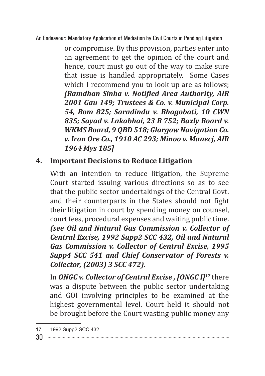or compromise. By this provision, parties enter into an agreement to get the opinion of the court and hence, court must go out of the way to make sure that issue is handled appropriately. Some Cases which I recommend you to look up are as follows; *[Ramdhan Sinha v. Notified Area Authority, AIR 2001 Gau 149; Trustees & Co. v. Municipal Corp. 54, Bom 825; Saradindu v. Bhagobati, 10 CWN 835; Sayad v. Lakabhai, 23 B 752; Baxly Board v. WKMS Board, 9 QBD 518; Glargow Navigation Co. v. Iron Ore Co., 1910 AC 293; Minoo v. Manecj, AIR 1964 Mys 185]*

## **4. Important Decisions to Reduce Litigation**

With an intention to reduce litigation, the Supreme Court started issuing various directions so as to see that the public sector undertakings of the Central Govt. and their counterparts in the States should not fight their litigation in court by spending money on counsel, court fees, procedural expenses and waiting public time. *(see Oil and Natural Gas Commission v. Collector of Central Excise, 1992 Supp2 SCC 432, Oil and Natural Gas Commission v. Collector of Central Excise, 1995 Supp4 SCC 541 and Chief Conservator of Forests v. Collector, (2003) 3 SCC 472).*

In *ONGC v. Collector of Central Excise , [ONGC I]17* there was a dispute between the public sector undertaking and GOI involving principles to be examined at the highest governmental level. Court held it should not be brought before the Court wasting public money any

<sup>17</sup> 1992 Supp2 SCC 432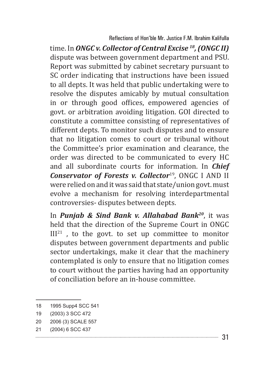time. In *ONGC v. Collector of Central Excise 18, (ONGC II)*  dispute was between government department and PSU. Report was submitted by cabinet secretary pursuant to SC order indicating that instructions have been issued to all depts. It was held that public undertaking were to resolve the disputes amicably by mutual consultation in or through good offices, empowered agencies of govt. or arbitration avoiding litigation. GOI directed to constitute a committee consisting of representatives of different depts. To monitor such disputes and to ensure that no litigation comes to court or tribunal without the Committee's prior examination and clearance, the order was directed to be communicated to every HC and all subordinate courts for information. In *Chief Conservator of Forests v. Collector*19, ONGC I AND II were relied on and it was said that state/union govt. must evolve a mechanism for resolving interdepartmental controversies- disputes between depts.

In *Punjab & Sind Bank v. Allahabad Bank20*, it was held that the direction of the Supreme Court in ONGC  $III<sup>21</sup>$ , to the govt. to set up committee to monitor disputes between government departments and public sector undertakings, make it clear that the machinery contemplated is only to ensure that no litigation comes to court without the parties having had an opportunity of conciliation before an in-house committee.

21 (2004) 6 SCC 437

<sup>18</sup> 1995 Supp4 SCC 541

<sup>19</sup> (2003) 3 SCC 472

<sup>20</sup> 2006 (3) SCALE 557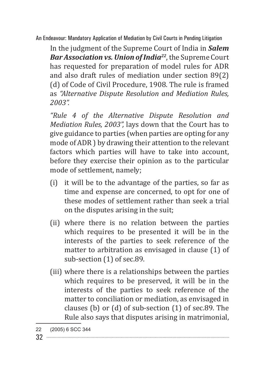In the judgment of the Supreme Court of India in *Salem Bar Association vs. Union of India22*, the Supreme Court has requested for preparation of model rules for ADR and also draft rules of mediation under section 89(2) (d) of Code of Civil Procedure, 1908. The rule is framed as *"Alternative Dispute Resolution and Mediation Rules, 2003".*

*"Rule 4 of the Alternative Dispute Resolution and Mediation Rules, 2003",* lays down that the Court has to give guidance to parties (when parties are opting for any mode of ADR ) by drawing their attention to the relevant factors which parties will have to take into account, before they exercise their opinion as to the particular mode of settlement, namely;

- (i) it will be to the advantage of the parties, so far as time and expense are concerned, to opt for one of these modes of settlement rather than seek a trial on the disputes arising in the suit;
- (ii) where there is no relation between the parties which requires to be presented it will be in the interests of the parties to seek reference of the matter to arbitration as envisaged in clause (1) of sub-section (1) of sec.89.
- (iii) where there is a relationships between the parties which requires to be preserved, it will be in the interests of the parties to seek reference of the matter to conciliation or mediation, as envisaged in clauses (b) or (d) of sub-section (1) of sec.89. The Rule also says that disputes arising in matrimonial,

<sup>22</sup> (2005) 6 SCC 344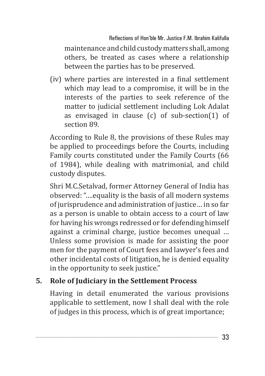Reflections of Hon'ble Mr. Justice F.M. Ibrahim Kalifulla

maintenance and child custody matters shall, among others, be treated as cases where a relationship between the parties has to be preserved.

(iv) where parties are interested in a final settlement which may lead to a compromise, it will be in the interests of the parties to seek reference of the matter to judicial settlement including Lok Adalat as envisaged in clause (c) of sub-section(1) of section 89.

According to Rule 8, the provisions of these Rules may be applied to proceedings before the Courts, including Family courts constituted under the Family Courts (66 of 1984), while dealing with matrimonial, and child custody disputes.

Shri M.C.Setalvad, former Attorney General of India has observed: "….equality is the basis of all modern systems of jurisprudence and administration of justice… in so far as a person is unable to obtain access to a court of law for having his wrongs redressed or for defending himself against a criminal charge, justice becomes unequal … Unless some provision is made for assisting the poor men for the payment of Court fees and lawyer's fees and other incidental costs of litigation, he is denied equality in the opportunity to seek justice."

## **5. Role of Judiciary in the Settlement Process**

Having in detail enumerated the various provisions applicable to settlement, now I shall deal with the role of judges in this process, which is of great importance;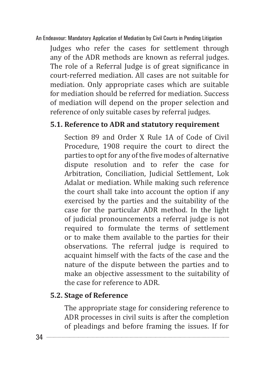Judges who refer the cases for settlement through any of the ADR methods are known as referral judges. The role of a Referral Judge is of great significance in court-referred mediation. All cases are not suitable for mediation. Only appropriate cases which are suitable for mediation should be referred for mediation. Success of mediation will depend on the proper selection and reference of only suitable cases by referral judges.

## **5.1. Reference to ADR and statutory requirement**

Section 89 and Order X Rule 1A of Code of Civil Procedure, 1908 require the court to direct the parties to opt for any of the five modes of alternative dispute resolution and to refer the case for Arbitration, Conciliation, Judicial Settlement, Lok Adalat or mediation. While making such reference the court shall take into account the option if any exercised by the parties and the suitability of the case for the particular ADR method. In the light of judicial pronouncements a referral judge is not required to formulate the terms of settlement or to make them available to the parties for their observations. The referral judge is required to acquaint himself with the facts of the case and the nature of the dispute between the parties and to make an objective assessment to the suitability of the case for reference to ADR.

# **5.2. Stage of Reference**

The appropriate stage for considering reference to ADR processes in civil suits is after the completion of pleadings and before framing the issues. If for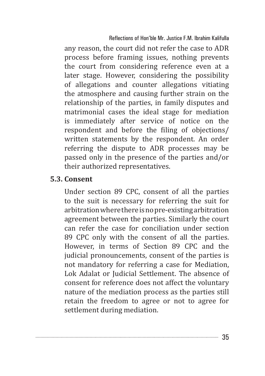any reason, the court did not refer the case to ADR process before framing issues, nothing prevents the court from considering reference even at a later stage. However, considering the possibility of allegations and counter allegations vitiating the atmosphere and causing further strain on the relationship of the parties, in family disputes and matrimonial cases the ideal stage for mediation is immediately after service of notice on the respondent and before the filing of objections/ written statements by the respondent. An order referring the dispute to ADR processes may be passed only in the presence of the parties and/or their authorized representatives.

#### **5.3. Consent**

Under section 89 CPC, consent of all the parties to the suit is necessary for referring the suit for arbitration where there is no pre-existing arbitration agreement between the parties. Similarly the court can refer the case for conciliation under section 89 CPC only with the consent of all the parties. However, in terms of Section 89 CPC and the judicial pronouncements, consent of the parties is not mandatory for referring a case for Mediation, Lok Adalat or Judicial Settlement. The absence of consent for reference does not affect the voluntary nature of the mediation process as the parties still retain the freedom to agree or not to agree for settlement during mediation.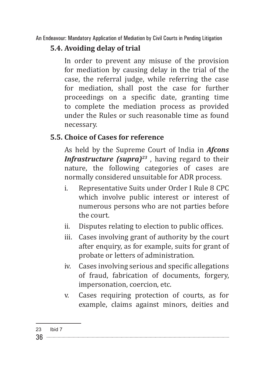# **5.4. Avoiding delay of trial**

In order to prevent any misuse of the provision for mediation by causing delay in the trial of the case, the referral judge, while referring the case for mediation, shall post the case for further proceedings on a specific date, granting time to complete the mediation process as provided under the Rules or such reasonable time as found necessary.

## **5.5. Choice of Cases for reference**

As held by the Supreme Court of India in *Afcons Infrastructure (supra)<sup>23</sup>*, having regard to their nature, the following categories of cases are normally considered unsuitable for ADR process.

- i. Representative Suits under Order I Rule 8 CPC which involve public interest or interest of numerous persons who are not parties before the court.
- ii. Disputes relating to election to public offices.
- iii. Cases involving grant of authority by the court after enquiry, as for example, suits for grant of probate or letters of administration.
- iv. Cases involving serious and specific allegations of fraud, fabrication of documents, forgery, impersonation, coercion, etc.
- v. Cases requiring protection of courts, as for example, claims against minors, deities and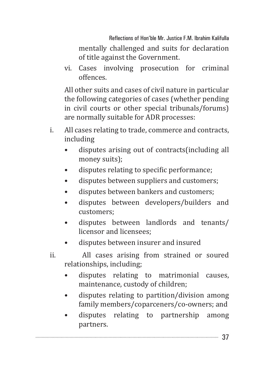Reflections of Hon'ble Mr. Justice F.M. Ibrahim Kalifulla mentally challenged and suits for declaration of title against the Government.

vi. Cases involving prosecution for criminal offences.

All other suits and cases of civil nature in particular the following categories of cases (whether pending in civil courts or other special tribunals/forums) are normally suitable for ADR processes:

- i. All cases relating to trade, commerce and contracts, including
	- disputes arising out of contracts(including all money suits);
	- disputes relating to specific performance;
	- disputes between suppliers and customers;
	- disputes between bankers and customers;
	- disputes between developers/builders and customers;
	- disputes between landlords and tenants/ licensor and licensees;
	- disputes between insurer and insured
- ii. All cases arising from strained or soured relationships, including;
	- disputes relating to matrimonial causes, maintenance, custody of children;
	- disputes relating to partition/division among family members/coparceners/co-owners; and
	- disputes relating to partnership among partners.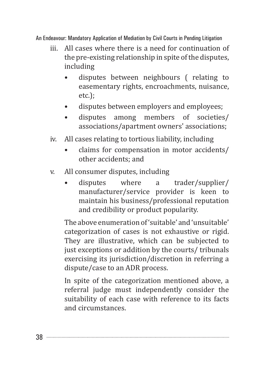- iii. All cases where there is a need for continuation of the pre-existing relationship in spite of the disputes, including
	- disputes between neighbours ( relating to easementary rights, encroachments, nuisance, etc.);
	- disputes between employers and employees;
	- disputes among members of societies/ associations/apartment owners' associations;
- iv. All cases relating to tortious liability, including
	- claims for compensation in motor accidents/ other accidents; and
- v. All consumer disputes, including
	- disputes where a trader/supplier/ manufacturer/service provider is keen to maintain his business/professional reputation and credibility or product popularity.

The above enumeration of 'suitable' and 'unsuitable' categorization of cases is not exhaustive or rigid. They are illustrative, which can be subjected to just exceptions or addition by the courts/ tribunals exercising its jurisdiction/discretion in referring a dispute/case to an ADR process.

In spite of the categorization mentioned above, a referral judge must independently consider the suitability of each case with reference to its facts and circumstances.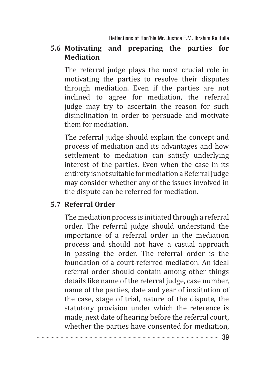#### **5.6 Motivating and preparing the parties for Mediation**

The referral judge plays the most crucial role in motivating the parties to resolve their disputes through mediation. Even if the parties are not inclined to agree for mediation, the referral judge may try to ascertain the reason for such disinclination in order to persuade and motivate them for mediation.

The referral judge should explain the concept and process of mediation and its advantages and how settlement to mediation can satisfy underlying interest of the parties. Even when the case in its entirety is not suitable for mediation a Referral Judge may consider whether any of the issues involved in the dispute can be referred for mediation.

#### **5.7 Referral Order**

The mediation process is initiated through a referral order. The referral judge should understand the importance of a referral order in the mediation process and should not have a casual approach in passing the order. The referral order is the foundation of a court-referred mediation. An ideal referral order should contain among other things details like name of the referral judge, case number, name of the parties, date and year of institution of the case, stage of trial, nature of the dispute, the statutory provision under which the reference is made, next date of hearing before the referral court, whether the parties have consented for mediation,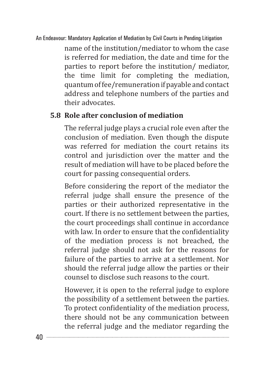name of the institution/mediator to whom the case is referred for mediation, the date and time for the parties to report before the institution/ mediator, the time limit for completing the mediation, quantum of fee/remuneration if payable and contact address and telephone numbers of the parties and their advocates.

## **5.8 Role after conclusion of mediation**

The referral judge plays a crucial role even after the conclusion of mediation. Even though the dispute was referred for mediation the court retains its control and jurisdiction over the matter and the result of mediation will have to be placed before the court for passing consequential orders.

Before considering the report of the mediator the referral judge shall ensure the presence of the parties or their authorized representative in the court. If there is no settlement between the parties, the court proceedings shall continue in accordance with law. In order to ensure that the confidentiality of the mediation process is not breached, the referral judge should not ask for the reasons for failure of the parties to arrive at a settlement. Nor should the referral judge allow the parties or their counsel to disclose such reasons to the court.

However, it is open to the referral judge to explore the possibility of a settlement between the parties. To protect confidentiality of the mediation process, there should not be any communication between the referral judge and the mediator regarding the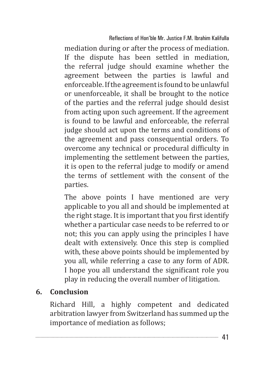mediation during or after the process of mediation. If the dispute has been settled in mediation, the referral judge should examine whether the agreement between the parties is lawful and enforceable. If the agreement is found to be unlawful or unenforceable, it shall be brought to the notice of the parties and the referral judge should desist from acting upon such agreement. If the agreement is found to be lawful and enforceable, the referral judge should act upon the terms and conditions of the agreement and pass consequential orders. To overcome any technical or procedural difficulty in implementing the settlement between the parties, it is open to the referral judge to modify or amend the terms of settlement with the consent of the parties.

The above points I have mentioned are very applicable to you all and should be implemented at the right stage. It is important that you first identify whether a particular case needs to be referred to or not; this you can apply using the principles I have dealt with extensively. Once this step is complied with, these above points should be implemented by you all, while referring a case to any form of ADR. I hope you all understand the significant role you play in reducing the overall number of litigation.

## **6. Conclusion**

Richard Hill, a highly competent and dedicated arbitration lawyer from Switzerland has summed up the importance of mediation as follows;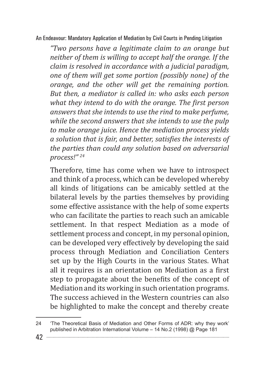*"Two persons have a legitimate claim to an orange but neither of them is willing to accept half the orange. If the claim is resolved in accordance with a judicial paradigm, one of them will get some portion (possibly none) of the orange, and the other will get the remaining portion. But then, a mediator is called in: who asks each person what they intend to do with the orange. The first person answers that she intends to use the rind to make perfume, while the second answers that she intends to use the pulp to make orange juice. Hence the mediation process yields a solution that is fair, and better, satisfies the interests of the parties than could any solution based on adversarial process!" 24*

Therefore, time has come when we have to introspect and think of a process, which can be developed whereby all kinds of litigations can be amicably settled at the bilateral levels by the parties themselves by providing some effective assistance with the help of some experts who can facilitate the parties to reach such an amicable settlement. In that respect Mediation as a mode of settlement process and concept, in my personal opinion, can be developed very effectively by developing the said process through Mediation and Conciliation Centers set up by the High Courts in the various States. What all it requires is an orientation on Mediation as a first step to propagate about the benefits of the concept of Mediation and its working in such orientation programs. The success achieved in the Western countries can also be highlighted to make the concept and thereby create

<sup>24</sup> 'The Theoretical Basis of Mediation and Other Forms of ADR: why they work' published in Arbitration International Volume – 14 No.2 (1998) @ Page 181

<sup>42</sup>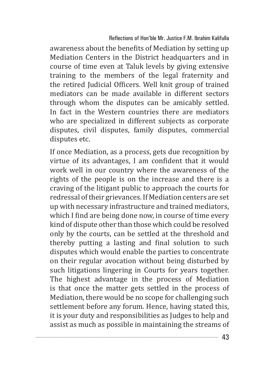awareness about the benefits of Mediation by setting up Mediation Centers in the District headquarters and in course of time even at Taluk levels by giving extensive training to the members of the legal fraternity and the retired Judicial Officers. Well knit group of trained mediators can be made available in different sectors through whom the disputes can be amicably settled. In fact in the Western countries there are mediators who are specialized in different subjects as corporate disputes, civil disputes, family disputes, commercial disputes etc.

If once Mediation, as a process, gets due recognition by virtue of its advantages, I am confident that it would work well in our country where the awareness of the rights of the people is on the increase and there is a craving of the litigant public to approach the courts for redressal of their grievances. If Mediation centers are set up with necessary infrastructure and trained mediators, which I find are being done now, in course of time every kind of dispute other than those which could be resolved only by the courts, can be settled at the threshold and thereby putting a lasting and final solution to such disputes which would enable the parties to concentrate on their regular avocation without being disturbed by such litigations lingering in Courts for years together. The highest advantage in the process of Mediation is that once the matter gets settled in the process of Mediation, there would be no scope for challenging such settlement before any forum. Hence, having stated this, it is your duty and responsibilities as Judges to help and assist as much as possible in maintaining the streams of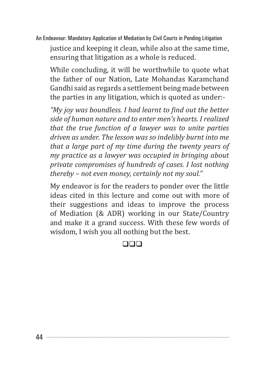justice and keeping it clean, while also at the same time, ensuring that litigation as a whole is reduced.

While concluding, it will be worthwhile to quote what the father of our Nation, Late Mohandas Karamchand Gandhi said as regards a settlement being made between the parties in any litigation, which is quoted as under:-

*"My joy was boundless. I had learnt to find out the better side of human nature and to enter men's hearts. I realized that the true function of a lawyer was to unite parties driven as under. The lesson was so indelibly burnt into me that a large part of my time during the twenty years of my practice as a lawyer was occupied in bringing about private compromises of hundreds of cases. I lost nothing thereby – not even money, certainly not my soul."*

My endeavor is for the readers to ponder over the little ideas cited in this lecture and come out with more of their suggestions and ideas to improve the process of Mediation (& ADR) working in our State/Country and make it a grand success. With these few words of wisdom, I wish you all nothing but the best.

#### $\Box$